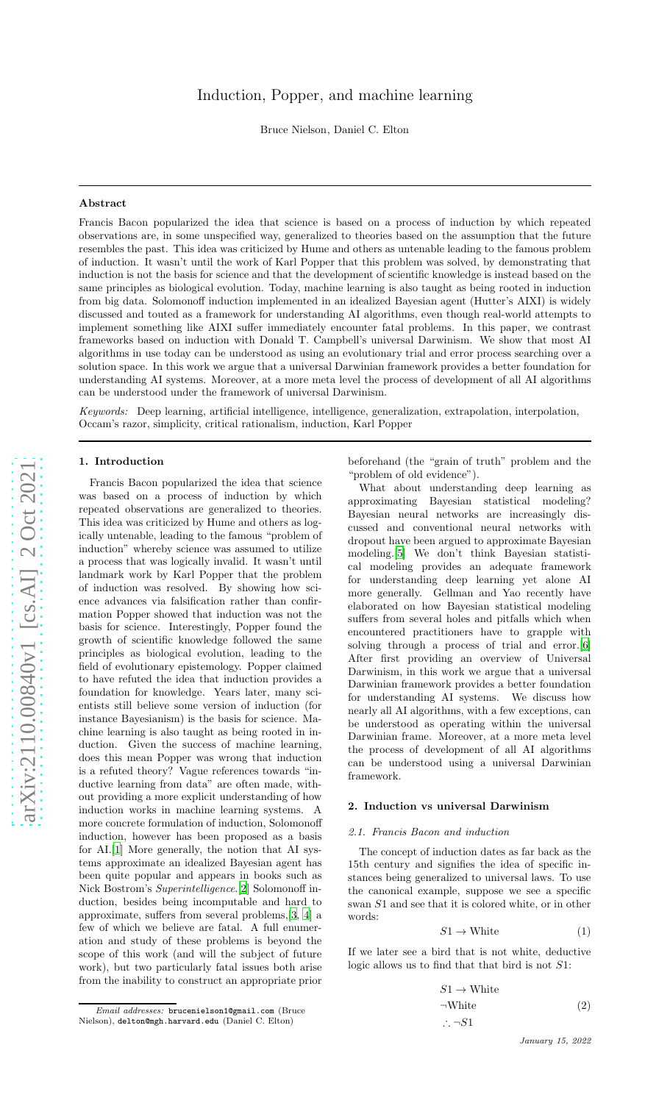# Induction, Popper, and machine learning

Bruce Nielson, Daniel C. Elton

### Abstract

Francis Bacon popularized the idea that science is based on a process of induction by which repeated observations are, in some unspecified way, generalized to theories based on the assumption that the future resembles the past. This idea was criticized by Hume and others as untenable leading to the famous problem of induction. It wasn't until the work of Karl Popper that this problem was solved, by demonstrating that induction is not the basis for science and that the development of scientific knowledge is instead based on the same principles as biological evolution. Today, machine learning is also taught as being rooted in induction from big data. Solomonoff induction implemented in an idealized Bayesian agent (Hutter's AIXI) is widely discussed and touted as a framework for understanding AI algorithms, even though real-world attempts to implement something like AIXI suffer immediately encounter fatal problems. In this paper, we contrast frameworks based on induction with Donald T. Campbell's universal Darwinism. We show that most AI algorithms in use today can be understood as using an evolutionary trial and error process searching over a solution space. In this work we argue that a universal Darwinian framework provides a better foundation for understanding AI systems. Moreover, at a more meta level the process of development of all AI algorithms can be understood under the framework of universal Darwinism.

*Keywords:* Deep learning, artificial intelligence, intelligence, generalization, extrapolation, interpolation, Occam's razor, simplicity, critical rationalism, induction, Karl Poppe r

#### 1. Introduction

Francis Bacon popularized the idea that science was based on a process of induction by which repeated observations are generalized to theories. This idea was criticized by Hume and others as logically untenable, leading to the famous "problem of induction" whereby science was assumed to utilize a process that was logically invalid. It wasn't until landmark work by Karl Popper that the problem of induction was resolved. By showing how science advances via falsification rather than confirmation Popper showed that induction was not the basis for science. Interestingly, Popper found the growth of scientific knowledge followed the same principles as biological evolution, leading to the field of evolutionary epistemology. Popper claimed to have refuted the idea that induction provides a foundation for knowledge. Years later, many scientists still believe some version of induction (for instance Bayesianism) is the basis for science. Machine learning is also taught as being rooted in induction. Given the success of machine learning, does this mean Popper was wrong that induction is a refuted theory? Vague references towards "inductive learning from data" are often made, without providing a more explicit understanding of how induction works in machine learning systems. A more concrete formulation of induction, Solomonoff induction, however has been proposed as a basis for AI.[\[1\]](#page-4-0) More generally, the notion that AI systems approximate an idealized Bayesian agent has been quite popular and appears in books such as Nick Bostrom's *Superintelligence*.[\[2](#page-4-1)] Solomonoff induction, besides being incomputable and hard to approximate, suffers from several problems,[\[3](#page-4-2), [4\]](#page-4-3) a few of which we believe are fatal. A full enumeration and study of these problems is beyond the scope of this work (and will the subject of future work), but two particularly fatal issues both arise from the inability to construct an appropriate prior

What about understanding deep learning as approximating Bayesian statistical modeling? Bayesian neural networks are increasingly discussed and conventional neural networks with dropout have been argued to approximate Bayesian modeling.[\[5](#page-4-4)] We don't think Bayesian statistical modeling provides an adequate framework for understanding deep learning yet alone AI more generally. Gellman and Yao recently have elaborated on how Bayesian statistical modeling suffers from several holes and pitfalls which when encountered practitioners have to grapple with solving through a process of trial and error.[\[6](#page-4-5)] After first providing an overview of Universal Darwinism, in this work we argue that a universal Darwinian framework provides a better foundation for understanding AI systems. We discuss how nearly all AI algorithms, with a few exceptions, can be understood as operating within the universal Darwinian frame. Moreover, at a more meta level the process of development of all AI algorithms can be understood using a universal Darwinian framework.

# 2. Induction vs universal Darwinism

### *2.1. Francis Bacon and induction*

The concept of induction dates as far back as the 15th century and signifies the idea of specific instances being generalized to universal laws. To use the canonical example, suppose we see a specific swan S1 and see that it is colored white, or in other words:

$$
S1 \to \text{White} \tag{1}
$$

If we later see a bird that is not white, deductive logic allows us to find that that bird is not S1:

$$
S1 \to \text{White}
$$
  
\n
$$
\neg \text{White}
$$
 (2)  
\n
$$
\therefore \neg S1
$$

beforehand (the "grain of truth" problem and the "problem of old evidence").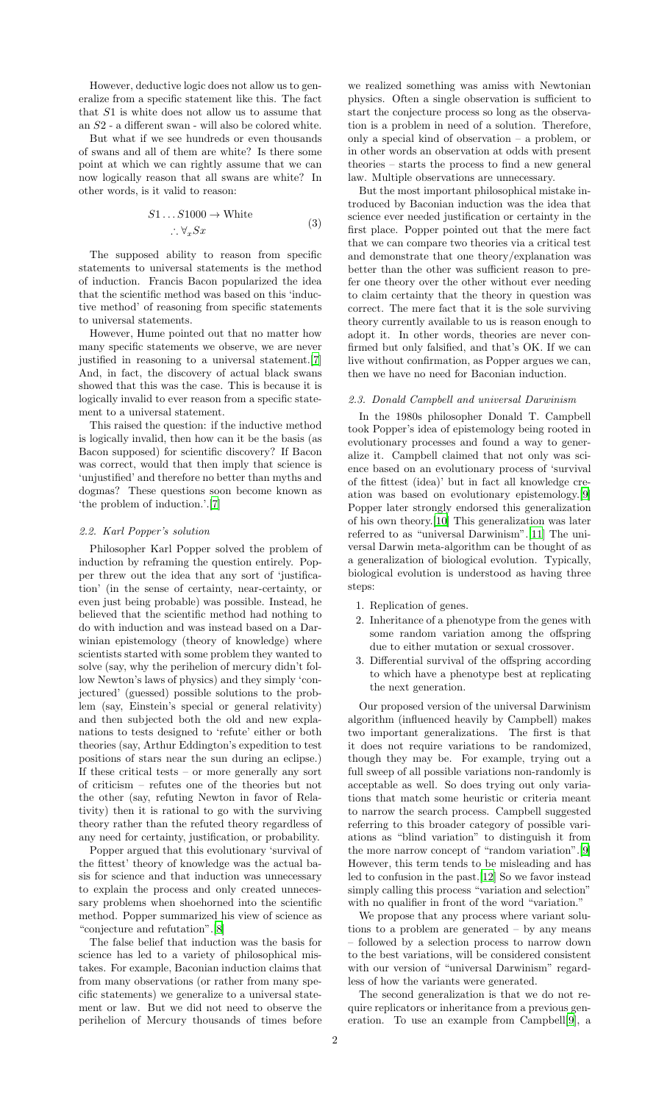However, deductive logic does not allow us to generalize from a specific statement like this. The fact that S1 is white does not allow us to assume that an S2 - a different swan - will also be colored white.

But what if we see hundreds or even thousands of swans and all of them are white? Is there some point at which we can rightly assume that we can now logically reason that all swans are white? In other words, is it valid to reason:

$$
S1...S1000 \to \text{White}
$$
  

$$
\therefore \forall_x Sx \tag{3}
$$

The supposed ability to reason from specific statements to universal statements is the method of induction. Francis Bacon popularized the idea that the scientific method was based on this 'inductive method' of reasoning from specific statements to universal statements.

However, Hume pointed out that no matter how many specific statements we observe, we are never justified in reasoning to a universal statement.[\[7](#page-4-6)] And, in fact, the discovery of actual black swans showed that this was the case. This is because it is logically invalid to ever reason from a specific statement to a universal statement.

This raised the question: if the inductive method is logically invalid, then how can it be the basis (as Bacon supposed) for scientific discovery? If Bacon was correct, would that then imply that science is 'unjustified' and therefore no better than myths and dogmas? These questions soon become known as 'the problem of induction.'.[\[7](#page-4-6)]

### *2.2. Karl Popper's solution*

Philosopher Karl Popper solved the problem of induction by reframing the question entirely. Popper threw out the idea that any sort of 'justification' (in the sense of certainty, near-certainty, or even just being probable) was possible. Instead, he believed that the scientific method had nothing to do with induction and was instead based on a Darwinian epistemology (theory of knowledge) where scientists started with some problem they wanted to solve (say, why the perihelion of mercury didn't follow Newton's laws of physics) and they simply 'conjectured' (guessed) possible solutions to the problem (say, Einstein's special or general relativity) and then subjected both the old and new explanations to tests designed to 'refute' either or both theories (say, Arthur Eddington's expedition to test positions of stars near the sun during an eclipse.) If these critical tests – or more generally any sort of criticism – refutes one of the theories but not the other (say, refuting Newton in favor of Relativity) then it is rational to go with the surviving theory rather than the refuted theory regardless of any need for certainty, justification, or probability.

Popper argued that this evolutionary 'survival of the fittest' theory of knowledge was the actual basis for science and that induction was unnecessary to explain the process and only created unnecessary problems when shoehorned into the scientific method. Popper summarized his view of science as "conjecture and refutation".[\[8\]](#page-4-7)

The false belief that induction was the basis for science has led to a variety of philosophical mistakes. For example, Baconian induction claims that from many observations (or rather from many specific statements) we generalize to a universal statement or law. But we did not need to observe the perihelion of Mercury thousands of times before

we realized something was amiss with Newtonian physics. Often a single observation is sufficient to start the conjecture process so long as the observation is a problem in need of a solution. Therefore, only a special kind of observation – a problem, or in other words an observation at odds with present theories – starts the process to find a new general law. Multiple observations are unnecessary.

But the most important philosophical mistake introduced by Baconian induction was the idea that science ever needed justification or certainty in the first place. Popper pointed out that the mere fact that we can compare two theories via a critical test and demonstrate that one theory/explanation was better than the other was sufficient reason to prefer one theory over the other without ever needing to claim certainty that the theory in question was correct. The mere fact that it is the sole surviving theory currently available to us is reason enough to adopt it. In other words, theories are never confirmed but only falsified, and that's OK. If we can live without confirmation, as Popper argues we can, then we have no need for Baconian induction.

#### *2.3. Donald Campbell and universal Darwinism*

In the 1980s philosopher Donald T. Campbell took Popper's idea of epistemology being rooted in evolutionary processes and found a way to generalize it. Campbell claimed that not only was science based on an evolutionary process of 'survival of the fittest (idea)' but in fact all knowledge creation was based on evolutionary epistemology.[\[9](#page-4-8)] Popper later strongly endorsed this generalization of his own theory.[\[10](#page-4-9)] This generalization was later referred to as "universal Darwinism".[\[11\]](#page-4-10) The universal Darwin meta-algorithm can be thought of as a generalization of biological evolution. Typically, biological evolution is understood as having three steps:

- 1. Replication of genes.
- 2. Inheritance of a phenotype from the genes with some random variation among the offspring due to either mutation or sexual crossover.
- 3. Differential survival of the offspring according to which have a phenotype best at replicating the next generation.

Our proposed version of the universal Darwinism algorithm (influenced heavily by Campbell) makes two important generalizations. The first is that it does not require variations to be randomized, though they may be. For example, trying out a full sweep of all possible variations non-randomly is acceptable as well. So does trying out only variations that match some heuristic or criteria meant to narrow the search process. Campbell suggested referring to this broader category of possible variations as "blind variation" to distinguish it from the more narrow concept of "random variation".[\[9](#page-4-8)] However, this term tends to be misleading and has led to confusion in the past.[\[12\]](#page-4-11) So we favor instead simply calling this process "variation and selection" with no qualifier in front of the word "variation."

We propose that any process where variant solutions to a problem are generated – by any means – followed by a selection process to narrow down to the best variations, will be considered consistent with our version of "universal Darwinism" regardless of how the variants were generated.

The second generalization is that we do not require replicators or inheritance from a previous generation. To use an example from Campbell[\[9\]](#page-4-8), a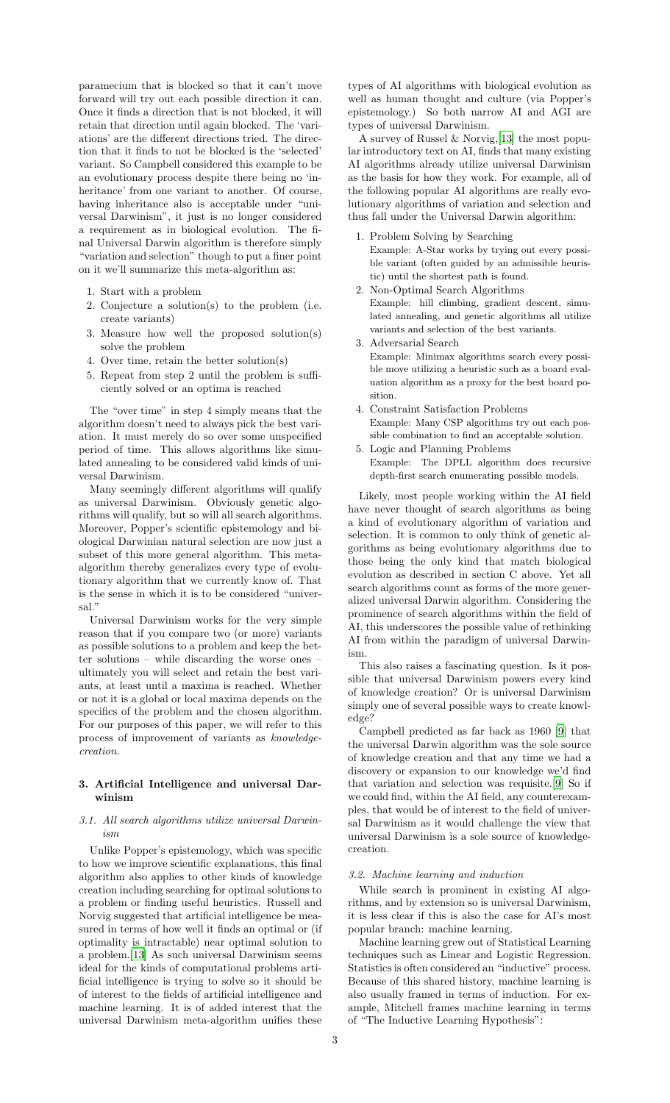paramecium that is blocked so that it can't move forward will try out each possible direction it can. Once it finds a direction that is not blocked, it will retain that direction until again blocked. The 'variations' are the different directions tried. The direction that it finds to not be blocked is the 'selected' variant. So Campbell considered this example to be an evolutionary process despite there being no 'inheritance' from one variant to another. Of course, having inheritance also is acceptable under "universal Darwinism", it just is no longer considered a requirement as in biological evolution. The final Universal Darwin algorithm is therefore simply "variation and selection" though to put a finer point on it we'll summarize this meta-algorithm as:

- 1. Start with a problem
- 2. Conjecture a solution(s) to the problem (i.e. create variants)
- 3. Measure how well the proposed solution(s) solve the problem
- 4. Over time, retain the better solution(s)
- 5. Repeat from step 2 until the problem is sufficiently solved or an optima is reached

The "over time" in step 4 simply means that the algorithm doesn't need to always pick the best variation. It must merely do so over some unspecified period of time. This allows algorithms like simulated annealing to be considered valid kinds of universal Darwinism.

Many seemingly different algorithms will qualify as universal Darwinism. Obviously genetic algorithms will qualify, but so will all search algorithms. Moreover, Popper's scientific epistemology and biological Darwinian natural selection are now just a subset of this more general algorithm. This metaalgorithm thereby generalizes every type of evolutionary algorithm that we currently know of. That is the sense in which it is to be considered "universal."

Universal Darwinism works for the very simple reason that if you compare two (or more) variants as possible solutions to a problem and keep the better solutions – while discarding the worse ones – ultimately you will select and retain the best variants, at least until a maxima is reached. Whether or not it is a global or local maxima depends on the specifics of the problem and the chosen algorithm. For our purposes of this paper, we will refer to this process of improvement of variants as *knowledgecreation*.

# 3. Artificial Intelligence and universal Darwinism

# *3.1. All search algorithms utilize universal Darwinism*

Unlike Popper's epistemology, which was specific to how we improve scientific explanations, this final algorithm also applies to other kinds of knowledge creation including searching for optimal solutions to a problem or finding useful heuristics. Russell and Norvig suggested that artificial intelligence be measured in terms of how well it finds an optimal or (if optimality is intractable) near optimal solution to a problem.[\[13\]](#page-4-12) As such universal Darwinism seems ideal for the kinds of computational problems artificial intelligence is trying to solve so it should be of interest to the fields of artificial intelligence and machine learning. It is of added interest that the universal Darwinism meta-algorithm unifies these

types of AI algorithms with biological evolution as well as human thought and culture (via Popper's epistemology.) So both narrow AI and AGI are types of universal Darwinism.

A survey of Russel & Norvig,[\[13\]](#page-4-12) the most popular introductory text on AI, finds that many existing AI algorithms already utilize universal Darwinism as the basis for how they work. For example, all of the following popular AI algorithms are really evolutionary algorithms of variation and selection and thus fall under the Universal Darwin algorithm:

- 1. Problem Solving by Searching Example: A-Star works by trying out every possible variant (often guided by an admissible heuristic) until the shortest path is found.
- 2. Non-Optimal Search Algorithms Example: hill climbing, gradient descent, simulated annealing, and genetic algorithms all utilize variants and selection of the best variants.
- 3. Adversarial Search Example: Minimax algorithms search every possible move utilizing a heuristic such as a board evaluation algorithm as a proxy for the best board position.
- 4. Constraint Satisfaction Problems Example: Many CSP algorithms try out each possible combination to find an acceptable solution.
- 5. Logic and Planning Problems Example: The DPLL algorithm does recursive depth-first search enumerating possible models.

Likely, most people working within the AI field have never thought of search algorithms as being a kind of evolutionary algorithm of variation and selection. It is common to only think of genetic algorithms as being evolutionary algorithms due to those being the only kind that match biological evolution as described in section C above. Yet all search algorithms count as forms of the more generalized universal Darwin algorithm. Considering the prominence of search algorithms within the field of AI, this underscores the possible value of rethinking AI from within the paradigm of universal Darwinism.

This also raises a fascinating question. Is it possible that universal Darwinism powers every kind of knowledge creation? Or is universal Darwinism simply one of several possible ways to create knowledge?

Campbell predicted as far back as 1960 [\[9](#page-4-8)] that the universal Darwin algorithm was the sole source of knowledge creation and that any time we had a discovery or expansion to our knowledge we'd find that variation and selection was requisite.[\[9\]](#page-4-8) So if we could find, within the AI field, any counterexamples, that would be of interest to the field of universal Darwinism as it would challenge the view that universal Darwinism is a sole source of knowledgecreation.

# *3.2. Machine learning and induction*

While search is prominent in existing AI algorithms, and by extension so is universal Darwinism, it is less clear if this is also the case for AI's most popular branch: machine learning.

Machine learning grew out of Statistical Learning techniques such as Linear and Logistic Regression. Statistics is often considered an "inductive" process. Because of this shared history, machine learning is also usually framed in terms of induction. For example, Mitchell frames machine learning in terms of "The Inductive Learning Hypothesis":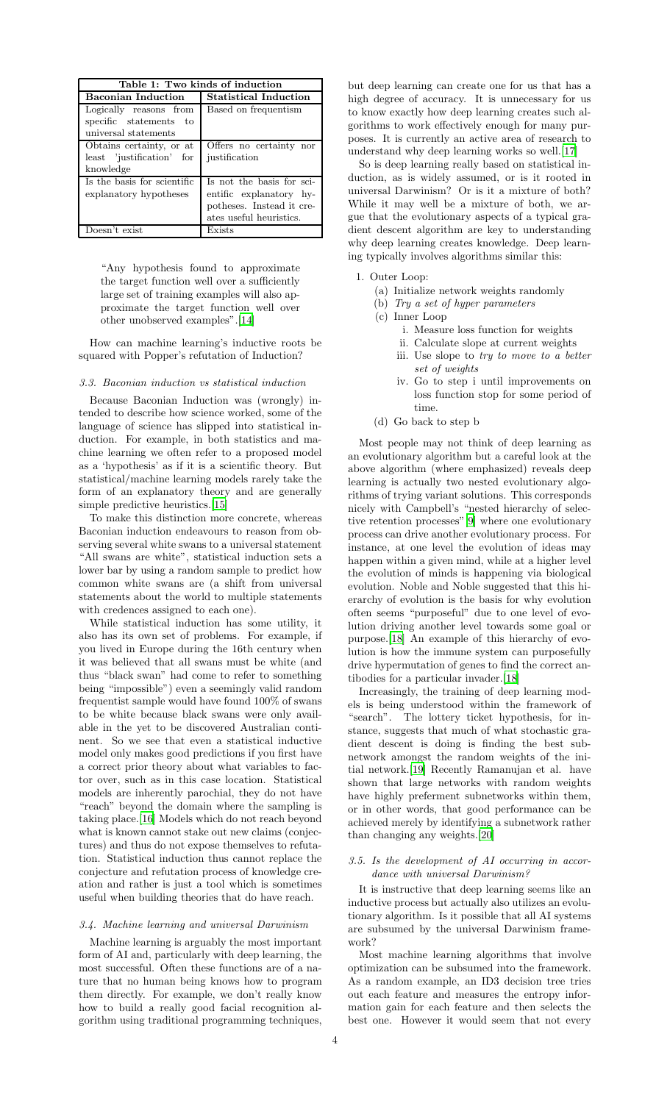| Table 1: Two kinds of induction                                          |                                                                                                              |
|--------------------------------------------------------------------------|--------------------------------------------------------------------------------------------------------------|
| <b>Baconian Induction</b>                                                | <b>Statistical Induction</b>                                                                                 |
| Logically reasons from<br>specific statements to<br>universal statements | Based on frequentism                                                                                         |
| Obtains certainty, or at<br>least 'justification' for<br>knowledge       | Offers no certainty nor<br>justification                                                                     |
| Is the basis for scientific<br>explanatory hypotheses                    | Is not the basis for sci-<br>entific explanatory hy-<br>potheses. Instead it cre-<br>ates useful heuristics. |
| Doesn't exist                                                            | Exists                                                                                                       |

"Any hypothesis found to approximate the target function well over a sufficiently large set of training examples will also approximate the target function well over other unobserved examples".[\[14](#page-4-13)]

How can machine learning's inductive roots be squared with Popper's refutation of Induction?

#### *3.3. Baconian induction vs statistical induction*

Because Baconian Induction was (wrongly) intended to describe how science worked, some of the language of science has slipped into statistical induction. For example, in both statistics and machine learning we often refer to a proposed model as a 'hypothesis' as if it is a scientific theory. But statistical/machine learning models rarely take the form of an explanatory theory and are generally simple predictive heuristics.[\[15\]](#page-4-14)

To make this distinction more concrete, whereas Baconian induction endeavours to reason from observing several white swans to a universal statement "All swans are white", statistical induction sets a lower bar by using a random sample to predict how common white swans are (a shift from universal statements about the world to multiple statements with credences assigned to each one).

While statistical induction has some utility, it also has its own set of problems. For example, if you lived in Europe during the 16th century when it was believed that all swans must be white (and thus "black swan" had come to refer to something being "impossible") even a seemingly valid random frequentist sample would have found 100% of swans to be white because black swans were only available in the yet to be discovered Australian continent. So we see that even a statistical inductive model only makes good predictions if you first have a correct prior theory about what variables to factor over, such as in this case location. Statistical models are inherently parochial, they do not have "reach" beyond the domain where the sampling is taking place.[\[16\]](#page-4-15) Models which do not reach beyond what is known cannot stake out new claims (conjectures) and thus do not expose themselves to refutation. Statistical induction thus cannot replace the conjecture and refutation process of knowledge creation and rather is just a tool which is sometimes useful when building theories that do have reach.

### *3.4. Machine learning and universal Darwinism*

Machine learning is arguably the most important form of AI and, particularly with deep learning, the most successful. Often these functions are of a nature that no human being knows how to program them directly. For example, we don't really know how to build a really good facial recognition algorithm using traditional programming techniques,

but deep learning can create one for us that has a high degree of accuracy. It is unnecessary for us to know exactly how deep learning creates such algorithms to work effectively enough for many purposes. It is currently an active area of research to understand why deep learning works so well.[\[17\]](#page-4-16)

So is deep learning really based on statistical induction, as is widely assumed, or is it rooted in universal Darwinism? Or is it a mixture of both? While it may well be a mixture of both, we argue that the evolutionary aspects of a typical gradient descent algorithm are key to understanding why deep learning creates knowledge. Deep learning typically involves algorithms similar this:

- 1. Outer Loop:
	- (a) Initialize network weights randomly
	- (b) *Try a set of hyper parameters*
	- (c) Inner Loop
		- i. Measure loss function for weights
		- ii. Calculate slope at current weights iii. Use slope to *try to move to a better*
		- *set of weights*
		- iv. Go to step i until improvements on loss function stop for some period of time.
	- (d) Go back to step b

Most people may not think of deep learning as an evolutionary algorithm but a careful look at the above algorithm (where emphasized) reveals deep learning is actually two nested evolutionary algorithms of trying variant solutions. This corresponds nicely with Campbell's "nested hierarchy of selective retention processes"[\[9\]](#page-4-8) where one evolutionary process can drive another evolutionary process. For instance, at one level the evolution of ideas may happen within a given mind, while at a higher level the evolution of minds is happening via biological evolution. Noble and Noble suggested that this hierarchy of evolution is the basis for why evolution often seems "purposeful" due to one level of evolution driving another level towards some goal or purpose.[\[18\]](#page-4-17) An example of this hierarchy of evolution is how the immune system can purposefully drive hypermutation of genes to find the correct antibodies for a particular invader.[\[18](#page-4-17)]

Increasingly, the training of deep learning models is being understood within the framework of "search". The lottery ticket hypothesis, for instance, suggests that much of what stochastic gradient descent is doing is finding the best subnetwork amongst the random weights of the initial network.[\[19\]](#page-4-18) Recently Ramanujan et al. have shown that large networks with random weights have highly preferment subnetworks within them, or in other words, that good performance can be achieved merely by identifying a subnetwork rather than changing any weights.[\[20\]](#page-4-19)

# *3.5. Is the development of AI occurring in accordance with universal Darwinism?*

It is instructive that deep learning seems like an inductive process but actually also utilizes an evolutionary algorithm. Is it possible that all AI systems are subsumed by the universal Darwinism framework?

Most machine learning algorithms that involve optimization can be subsumed into the framework. As a random example, an ID3 decision tree tries out each feature and measures the entropy information gain for each feature and then selects the best one. However it would seem that not every